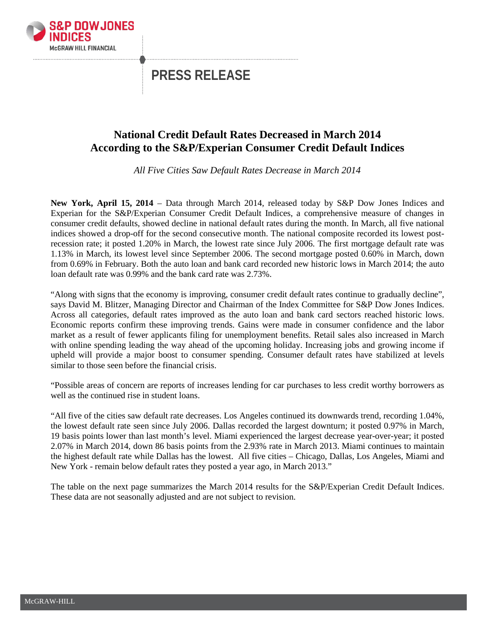

# **PRESS RELEASE**

## **National Credit Default Rates Decreased in March 2014 According to the S&P/Experian Consumer Credit Default Indices**

*All Five Cities Saw Default Rates Decrease in March 2014*

**New York, April 15, 2014** – Data through March 2014, released today by S&P Dow Jones Indices and Experian for the S&P/Experian Consumer Credit Default Indices, a comprehensive measure of changes in consumer credit defaults, showed decline in national default rates during the month. In March, all five national indices showed a drop-off for the second consecutive month. The national composite recorded its lowest postrecession rate; it posted 1.20% in March, the lowest rate since July 2006. The first mortgage default rate was 1.13% in March, its lowest level since September 2006. The second mortgage posted 0.60% in March, down from 0.69% in February. Both the auto loan and bank card recorded new historic lows in March 2014; the auto loan default rate was 0.99% and the bank card rate was 2.73%.

"Along with signs that the economy is improving, consumer credit default rates continue to gradually decline", says David M. Blitzer, Managing Director and Chairman of the Index Committee for S&P Dow Jones Indices. Across all categories, default rates improved as the auto loan and bank card sectors reached historic lows. Economic reports confirm these improving trends. Gains were made in consumer confidence and the labor market as a result of fewer applicants filing for unemployment benefits. Retail sales also increased in March with online spending leading the way ahead of the upcoming holiday. Increasing jobs and growing income if upheld will provide a major boost to consumer spending. Consumer default rates have stabilized at levels similar to those seen before the financial crisis.

"Possible areas of concern are reports of increases lending for car purchases to less credit worthy borrowers as well as the continued rise in student loans.

"All five of the cities saw default rate decreases. Los Angeles continued its downwards trend, recording 1.04%, the lowest default rate seen since July 2006. Dallas recorded the largest downturn; it posted 0.97% in March, 19 basis points lower than last month's level. Miami experienced the largest decrease year-over-year; it posted 2.07% in March 2014, down 86 basis points from the 2.93% rate in March 2013. Miami continues to maintain the highest default rate while Dallas has the lowest. All five cities – Chicago, Dallas, Los Angeles, Miami and New York - remain below default rates they posted a year ago, in March 2013."

The table on the next page summarizes the March 2014 results for the S&P/Experian Credit Default Indices. These data are not seasonally adjusted and are not subject to revision.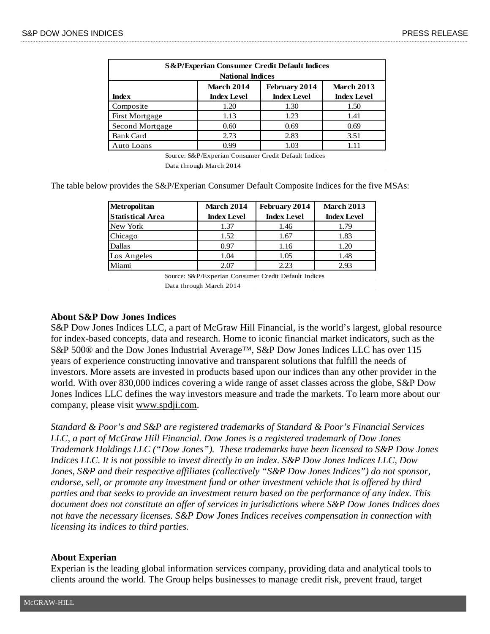| <b>S&amp;P/Experian Consumer Credit Default Indices</b><br><b>National Indices</b> |                                         |                                     |                                         |  |
|------------------------------------------------------------------------------------|-----------------------------------------|-------------------------------------|-----------------------------------------|--|
| <b>Index</b>                                                                       | <b>March 2014</b><br><b>Index Level</b> | February 2014<br><b>Index Level</b> | <b>March 2013</b><br><b>Index Level</b> |  |
| Composite                                                                          | 1.20                                    | 1.30                                | 1.50                                    |  |
| First Mortgage                                                                     | 1.13                                    | 1.23                                | 1.41                                    |  |
| Second Mortgage                                                                    | 0.60                                    | 0.69                                | 0.69                                    |  |
| <b>Bank Card</b>                                                                   | 2.73                                    | 2.83                                | 3.51                                    |  |
| Auto Loans                                                                         | 0.99                                    | 1.03                                | 111                                     |  |

Source: S&P/Experian Consumer Credit Default Indices

Data through March 2014

The table below provides the S&P/Experian Consumer Default Composite Indices for the five MSAs:

| Metropolitan            | <b>March 2014</b>  | February 2014      | <b>March 2013</b>  |
|-------------------------|--------------------|--------------------|--------------------|
| <b>Statistical Area</b> | <b>Index Level</b> | <b>Index Level</b> | <b>Index Level</b> |
| New York                | 1.37               | 1.46               | 1.79               |
| Chicago                 | 1.52               | 1.67               | 1.83               |
| Dallas                  | 0.97               | 1.16               | 1.20               |
| Los Angeles             | 1.04               | 1.05               | 1.48               |
| Miami                   | 2.07               | 2.23               | 2.93               |

 Source: S&P/Experian Consumer Credit Default Indices Data through March 2014

#### **About S&P Dow Jones Indices**

S&P Dow Jones Indices LLC, a part of McGraw Hill Financial, is the world's largest, global resource for index-based concepts, data and research. Home to iconic financial market indicators, such as the S&P 500<sup>®</sup> and the Dow Jones Industrial Average™, S&P Dow Jones Indices LLC has over 115 years of experience constructing innovative and transparent solutions that fulfill the needs of investors. More assets are invested in products based upon our indices than any other provider in the world. With over 830,000 indices covering a wide range of asset classes across the globe, S&P Dow Jones Indices LLC defines the way investors measure and trade the markets. To learn more about our company, please visit [www.spdji.com.](http://www.spdji.com/)

*Standard & Poor's and S&P are registered trademarks of Standard & Poor's Financial Services LLC, a part of McGraw Hill Financial. Dow Jones is a registered trademark of Dow Jones Trademark Holdings LLC ("Dow Jones"). These trademarks have been licensed to S&P Dow Jones Indices LLC. It is not possible to invest directly in an index. S&P Dow Jones Indices LLC, Dow Jones, S&P and their respective affiliates (collectively "S&P Dow Jones Indices") do not sponsor, endorse, sell, or promote any investment fund or other investment vehicle that is offered by third parties and that seeks to provide an investment return based on the performance of any index. This document does not constitute an offer of services in jurisdictions where S&P Dow Jones Indices does not have the necessary licenses. S&P Dow Jones Indices receives compensation in connection with licensing its indices to third parties.*

#### **About Experian**

Experian is the leading global information services company, providing data and analytical tools to clients around the world. The Group helps businesses to manage credit risk, prevent fraud, target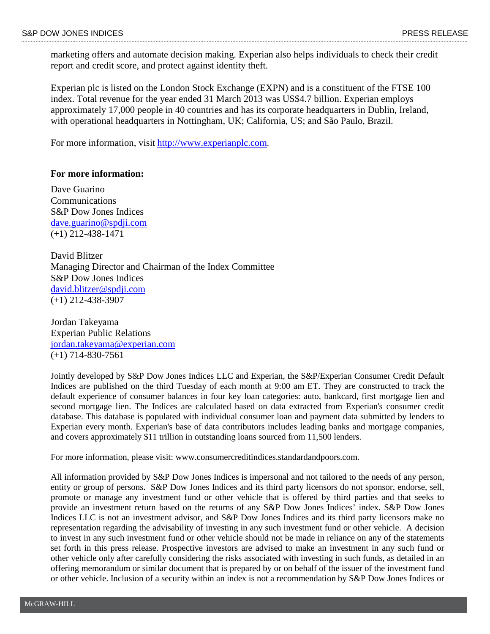marketing offers and automate decision making. Experian also helps individuals to check their credit report and credit score, and protect against identity theft.

Experian plc is listed on the London Stock Exchange (EXPN) and is a constituent of the FTSE 100 index. Total revenue for the year ended 31 March 2013 was US\$4.7 billion. Experian employs approximately 17,000 people in 40 countries and has its corporate headquarters in Dublin, Ireland, with operational headquarters in Nottingham, UK; California, US; and São Paulo, Brazil.

For more information, visit [http://www.experianplc.com.](http://www.experianplc.com/)

### **For more information:**

Dave Guarino Communications S&P Dow Jones Indices [dave.guarino@spdji.com](mailto:dave.guarino@spdji.com) (+1) 212-438-1471

David Blitzer Managing Director and Chairman of the Index Committee S&P Dow Jones Indices [david.blitzer@spdji.com](mailto:david.blitzer@spdji.com) (+1) 212-438-3907

Jordan Takeyama Experian Public Relations [jordan.takeyama@experian.com](mailto:jordan.takeyama@experian.com)  $(+1)$  714-830-7561

Jointly developed by S&P Dow Jones Indices LLC and Experian, the S&P/Experian Consumer Credit Default Indices are published on the third Tuesday of each month at 9:00 am ET. They are constructed to track the default experience of consumer balances in four key loan categories: auto, bankcard, first mortgage lien and second mortgage lien. The Indices are calculated based on data extracted from Experian's consumer credit database. This database is populated with individual consumer loan and payment data submitted by lenders to Experian every month. Experian's base of data contributors includes leading banks and mortgage companies, and covers approximately \$11 trillion in outstanding loans sourced from 11,500 lenders.

For more information, please visit: www.consumercreditindices.standardandpoors.com.

All information provided by S&P Dow Jones Indices is impersonal and not tailored to the needs of any person, entity or group of persons. S&P Dow Jones Indices and its third party licensors do not sponsor, endorse, sell, promote or manage any investment fund or other vehicle that is offered by third parties and that seeks to provide an investment return based on the returns of any S&P Dow Jones Indices' index. S&P Dow Jones Indices LLC is not an investment advisor, and S&P Dow Jones Indices and its third party licensors make no representation regarding the advisability of investing in any such investment fund or other vehicle. A decision to invest in any such investment fund or other vehicle should not be made in reliance on any of the statements set forth in this press release. Prospective investors are advised to make an investment in any such fund or other vehicle only after carefully considering the risks associated with investing in such funds, as detailed in an offering memorandum or similar document that is prepared by or on behalf of the issuer of the investment fund or other vehicle. Inclusion of a security within an index is not a recommendation by S&P Dow Jones Indices or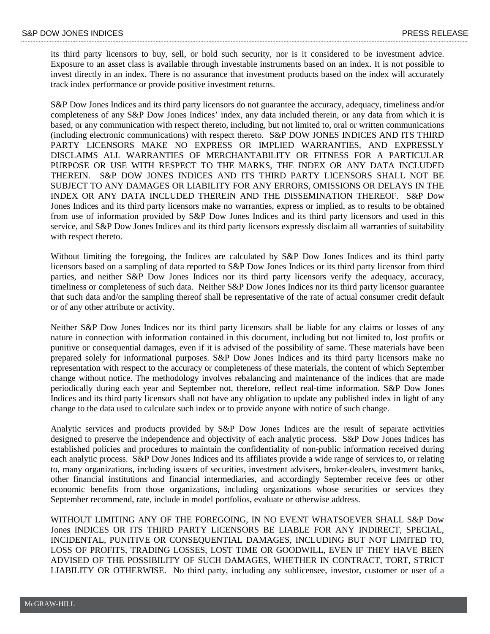its third party licensors to buy, sell, or hold such security, nor is it considered to be investment advice. Exposure to an asset class is available through investable instruments based on an index. It is not possible to invest directly in an index. There is no assurance that investment products based on the index will accurately track index performance or provide positive investment returns.

S&P Dow Jones Indices and its third party licensors do not guarantee the accuracy, adequacy, timeliness and/or completeness of any S&P Dow Jones Indices' index, any data included therein, or any data from which it is based, or any communication with respect thereto, including, but not limited to, oral or written communications (including electronic communications) with respect thereto. S&P DOW JONES INDICES AND ITS THIRD PARTY LICENSORS MAKE NO EXPRESS OR IMPLIED WARRANTIES, AND EXPRESSLY DISCLAIMS ALL WARRANTIES OF MERCHANTABILITY OR FITNESS FOR A PARTICULAR PURPOSE OR USE WITH RESPECT TO THE MARKS, THE INDEX OR ANY DATA INCLUDED THEREIN. S&P DOW JONES INDICES AND ITS THIRD PARTY LICENSORS SHALL NOT BE SUBJECT TO ANY DAMAGES OR LIABILITY FOR ANY ERRORS, OMISSIONS OR DELAYS IN THE INDEX OR ANY DATA INCLUDED THEREIN AND THE DISSEMINATION THEREOF. S&P Dow Jones Indices and its third party licensors make no warranties, express or implied, as to results to be obtained from use of information provided by S&P Dow Jones Indices and its third party licensors and used in this service, and S&P Dow Jones Indices and its third party licensors expressly disclaim all warranties of suitability with respect thereto.

Without limiting the foregoing, the Indices are calculated by S&P Dow Jones Indices and its third party licensors based on a sampling of data reported to S&P Dow Jones Indices or its third party licensor from third parties, and neither S&P Dow Jones Indices nor its third party licensors verify the adequacy, accuracy, timeliness or completeness of such data. Neither S&P Dow Jones Indices nor its third party licensor guarantee that such data and/or the sampling thereof shall be representative of the rate of actual consumer credit default or of any other attribute or activity.

Neither S&P Dow Jones Indices nor its third party licensors shall be liable for any claims or losses of any nature in connection with information contained in this document, including but not limited to, lost profits or punitive or consequential damages, even if it is advised of the possibility of same. These materials have been prepared solely for informational purposes. S&P Dow Jones Indices and its third party licensors make no representation with respect to the accuracy or completeness of these materials, the content of which September change without notice. The methodology involves rebalancing and maintenance of the indices that are made periodically during each year and September not, therefore, reflect real-time information. S&P Dow Jones Indices and its third party licensors shall not have any obligation to update any published index in light of any change to the data used to calculate such index or to provide anyone with notice of such change.

Analytic services and products provided by S&P Dow Jones Indices are the result of separate activities designed to preserve the independence and objectivity of each analytic process. S&P Dow Jones Indices has established policies and procedures to maintain the confidentiality of non-public information received during each analytic process. S&P Dow Jones Indices and its affiliates provide a wide range of services to, or relating to, many organizations, including issuers of securities, investment advisers, broker-dealers, investment banks, other financial institutions and financial intermediaries, and accordingly September receive fees or other economic benefits from those organizations, including organizations whose securities or services they September recommend, rate, include in model portfolios, evaluate or otherwise address.

WITHOUT LIMITING ANY OF THE FOREGOING, IN NO EVENT WHATSOEVER SHALL S&P Dow Jones INDICES OR ITS THIRD PARTY LICENSORS BE LIABLE FOR ANY INDIRECT, SPECIAL, INCIDENTAL, PUNITIVE OR CONSEQUENTIAL DAMAGES, INCLUDING BUT NOT LIMITED TO, LOSS OF PROFITS, TRADING LOSSES, LOST TIME OR GOODWILL, EVEN IF THEY HAVE BEEN ADVISED OF THE POSSIBILITY OF SUCH DAMAGES, WHETHER IN CONTRACT, TORT, STRICT LIABILITY OR OTHERWISE. No third party, including any sublicensee, investor, customer or user of a